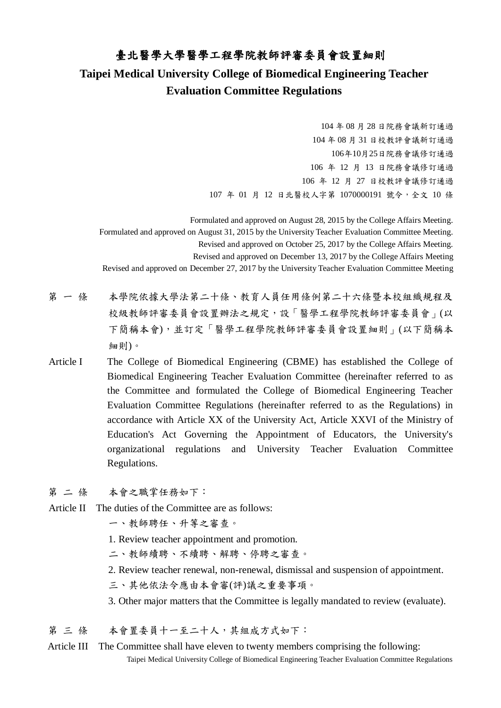## 臺北醫學大學醫學工程學院教師評審委員會設置細則

## **Taipei Medical University College of Biomedical Engineering Teacher Evaluation Committee Regulations**

 年 08 月 28 日院務會議新訂通過 年 08 月 31 日校教評會議新訂通過 年10月25日院務會議修訂通過 年 12 月 13 日院務會議修訂通過 年 12 月 27 日校教評會議修訂通過 年 01 月 12 日北醫校人字第 1070000191 號令,全文 10 條

 Formulated and approved on August 28, 2015 by the College Affairs Meeting. Formulated and approved on August 31, 2015 by the University Teacher Evaluation Committee Meeting. Revised and approved on October 25, 2017 by the College Affairs Meeting. Revised and approved on December 13, 2017 by the College Affairs Meeting Revised and approved on December 27, 2017 by the University Teacher Evaluation Committee Meeting

- 第 一 條 本學院依據大學法第二十條、教育人員任用條例第二十六條暨本校組織規程及 校級教師評審委員會設置辦法之規定,設「醫學工程學院教師評審委員會」(以 下簡稱本會),並訂定「醫學工程學院教師評審委員會設置細則」(以下簡稱本 細則)。
- Article I The College of Biomedical Engineering (CBME) has established the College of Biomedical Engineering Teacher Evaluation Committee (hereinafter referred to as the Committee and formulated the College of Biomedical Engineering Teacher Evaluation Committee Regulations (hereinafter referred to as the Regulations) in accordance with Article XX of the University Act, Article XXVI of the Ministry of Education's Act Governing the Appointment of Educators, the University's organizational regulations and University Teacher Evaluation Committee Regulations.
- 第二條 本會之職掌任務如下:
- Article II The duties of the Committee are as follows:
	- 一、教師聘任、升等之審查。
	- 1. Review teacher appointment and promotion.
	- 二、教師續聘、不續聘、解聘、停聘之審查。
	- 2. Review teacher renewal, non-renewal, dismissal and suspension of appointment.
	- 三、其他依法令應由本會審(評)議之重要事項。
	- 3. Other major matters that the Committee is legally mandated to review (evaluate).
- 第三條 本會置委員十一至二十人,其組成方式如下:
- Taipei Medical University College of Biomedical Engineering Teacher Evaluation Committee Regulations Article III The Committee shall have eleven to twenty members comprising the following: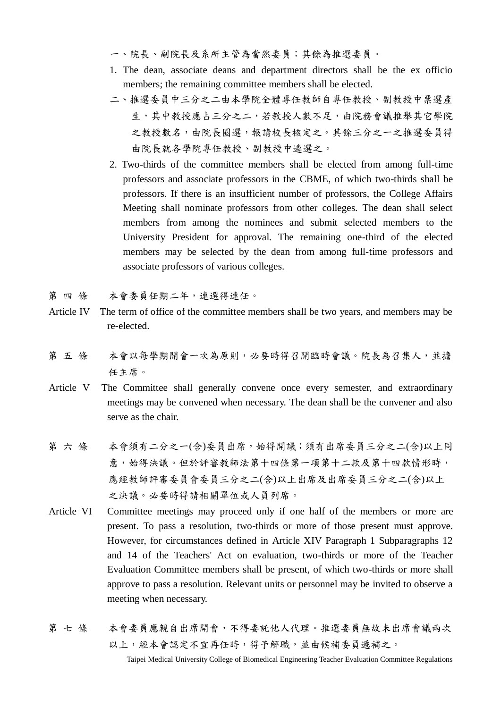- 一、院長、副院長及系所主管為當然委員;其餘為推選委員。
- 1. The dean, associate deans and department directors shall be the ex officio members; the remaining committee members shall be elected.
- 二、推選委員中三分之二由本學院全體專任教師自專任教授、副教授中票選產 生,其中教授應占三分之二,若教授人數不足,由院務會議推舉其它學院 之教授數名,由院長圈選,報請校長核定之。其餘三分之一之推選委員得 由院長就各學院專任教授、副教授中遴選之。
- 2. Two-thirds of the committee members shall be elected from among full-time professors and associate professors in the CBME, of which two-thirds shall be professors. If there is an insufficient number of professors, the College Affairs Meeting shall nominate professors from other colleges. The dean shall select members from among the nominees and submit selected members to the University President for approval. The remaining one-third of the elected members may be selected by the dean from among full-time professors and associate professors of various colleges.
- 第 四 條 本會委員任期二年,連選得連任。
- Article IV The term of office of the committee members shall be two years, and members may be re-elected.
- 第 五 條 本會以每學期開會一次為原則,必要時得召開臨時會議。院長為召集人,並擔 任主席。
- Article V The Committee shall generally convene once every semester, and extraordinary meetings may be convened when necessary. The dean shall be the convener and also serve as the chair.
- 第六條 本會須有二分之一(含)委員出席,始得開議;須有出席委員三分之二(含)以上同 意,始得決議。但於評審教師法第十四條第一項第十二款及第十四款情形時, 應經教師評審委員會委員三分之二(含)以上出席及出席委員三分之二(含)以上 之決議。必要時得請相關單位或人員列席。
- Article VI Committee meetings may proceed only if one half of the members or more are present. To pass a resolution, two-thirds or more of those present must approve. However, for circumstances defined in Article XIV Paragraph 1 Subparagraphs 12 and 14 of the Teachers' Act on evaluation, two-thirds or more of the Teacher Evaluation Committee members shall be present, of which two-thirds or more shall approve to pass a resolution. Relevant units or personnel may be invited to observe a meeting when necessary.
- 第 七 條 无本會委員應親自出席開會,不得委託他人代理。推選委員無故未出席會議兩次 以上,經本會認定不宜再任時,得予解職,並由候補委員遞補之。

Taipei Medical University College of Biomedical Engineering Teacher Evaluation Committee Regulations